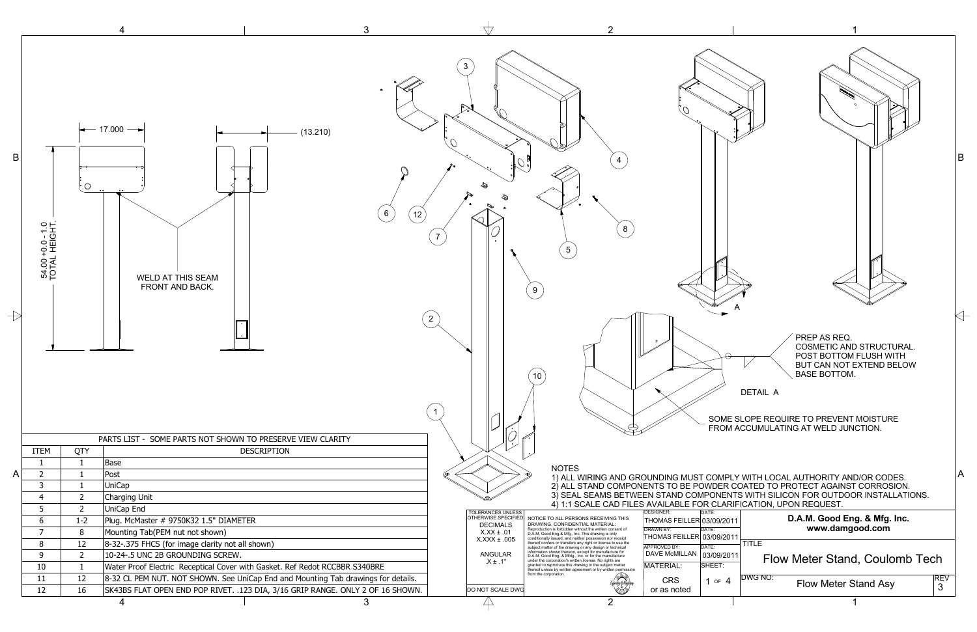

| $\mathbf{3}$<br>$-17.000 -$<br>(13.210)<br>4<br>$6\phantom{.}6$<br>12<br>54.00 +0.0 - 1.0<br>TOTAL HEIGHT.<br>8<br>WELD AT THIS SEAM<br>FRONT AND BACK.<br>9<br>$\overline{2}$<br>PREP AS REQ.<br><b>COSMETIC AND STRUCTURAL</b><br>POST BOTTOM FLUSH WITH<br>BUT CAN NOT EXTEND BELOW<br><b>BASE BOTTOM.</b><br>10<br>DETAIL A<br>SOME SLOPE REQUIRE TO PREVENT MOISTURE<br>FROM ACCUMULATING AT WELD JUNCTION.<br>PARTS LIST - SOME PARTS NOT SHOWN TO PRESERVE VIEW CLARITY<br>ITEM<br>QTY<br><b>DESCRIPTION</b><br>Base<br>-1<br><b>NOTES</b><br>$\overline{2}$<br>Post<br>1) ALL WIRING AND GROUNDING MUST COMPLY WITH LOCAL AUTHORITY AND/OR CODES.<br>$\overline{3}$<br><b>UniCap</b><br>2) ALL STAND COMPONENTS TO BE POWDER COATED TO PROTECT AGAINST CORROSION.<br>3) SEAL SEAMS BETWEEN STAND COMPONENTS WITH SILICON FOR OUTDOOR INSTALLATIONS.<br>Charging Unit<br>2<br>4) 1:1 SCALE CAD FILES AVAILABLE FOR CLARIFICATION, UPON REQUEST.<br>UniCap End<br>$\overline{2}$<br><b>DESIGNER:</b><br><b>TOLERANCES UNLESS</b><br>DATE:<br>D.A.M. Good Eng. & Mfg. Inc.<br>OTHERWISE SPECIFIED<br>NOTICE TO ALL PERSONS RECEIVING THIS<br>Plug. McMaster # 9750K32 1.5" DIAMETER<br>THOMAS FEILLER 03/09/2011<br>-6<br>$1 - 2$<br>DRAWING, CONFIDENTIAL MATERIAL:<br><b>DECIMALS</b><br>www.damgood.com<br>Reproduction is forbidden without the written consent of<br><b>DRAWN BY:</b><br>DATE:<br>- 7<br>Mounting Tab(PEM nut not shown)<br>$X.XX \pm .01$<br>D.A.M. Good Eng.& Mfg., Inc. This drawing is only<br>THOMAS FEILLER 03/09/2011<br>conditionally issued, and neither possession nor receipt<br>$X.XXX \pm .005$<br>$\vert$ TITLE<br>8-32-.375 FHCS (for image clarity not all shown)<br>12<br>8<br>thereof confers or transfers any right or license to use the<br>APPROVED BY:<br>DATE:<br>subject matter of the drawing or any design or technical<br>information shown thereon, except for manufacture for<br>DAVE McMILLAN 03/09/2011<br>ANGULAR<br>10-24-.5 UNC 2B GROUNDING SCREW.<br>- 9<br>ີ<br>D.A.M. Good Eng. & Mfdg., Inc. or for the manufacture<br>Flow Meter Stand, Coulomb Tech<br>$.X \pm .1^{\circ}$<br>under the corporation's written license. No rights are<br>SHEET:<br>MATERIAL:<br>Water Proof Electric Receptical Cover with Gasket. Ref Redot RCCBBR S340BRE<br>granted to reproduce this drawing or the subject matter<br>10<br>thereof unless by written agreement or by written permission<br>from the corporation.<br><b>DWG NO:</b><br>$R$ BV<br>$3$<br><b>11</b><br>12<br>8-32 CL PEM NUT. NOT SHOWN. See UniCap End and Mounting Tab drawings for details.<br>ficaching de Nacha<br><b>CRS</b><br>1 or $4$<br><b>Flow Meter Stand Asy</b><br>١<br>SK43BS FLAT OPEN END POP RIVET. .123 DIA, 3/16 GRIP RANGE. ONLY 2 OF 16 SHOWN.<br>12<br>16<br>DO NOT SCALE DWG<br>or as noted |                              |  | 3<br>4 | 2              |  |
|-----------------------------------------------------------------------------------------------------------------------------------------------------------------------------------------------------------------------------------------------------------------------------------------------------------------------------------------------------------------------------------------------------------------------------------------------------------------------------------------------------------------------------------------------------------------------------------------------------------------------------------------------------------------------------------------------------------------------------------------------------------------------------------------------------------------------------------------------------------------------------------------------------------------------------------------------------------------------------------------------------------------------------------------------------------------------------------------------------------------------------------------------------------------------------------------------------------------------------------------------------------------------------------------------------------------------------------------------------------------------------------------------------------------------------------------------------------------------------------------------------------------------------------------------------------------------------------------------------------------------------------------------------------------------------------------------------------------------------------------------------------------------------------------------------------------------------------------------------------------------------------------------------------------------------------------------------------------------------------------------------------------------------------------------------------------------------------------------------------------------------------------------------------------------------------------------------------------------------------------------------------------------------------------------------------------------------------------------------------------------------------------------------------------------------------------------------------------------------------------------------------------------------------------------------------------------------------------------------------------------------------------------------------------------------------------------------------------------------------------------------------------------------------------------------------------------------------------|------------------------------|--|--------|----------------|--|
|                                                                                                                                                                                                                                                                                                                                                                                                                                                                                                                                                                                                                                                                                                                                                                                                                                                                                                                                                                                                                                                                                                                                                                                                                                                                                                                                                                                                                                                                                                                                                                                                                                                                                                                                                                                                                                                                                                                                                                                                                                                                                                                                                                                                                                                                                                                                                                                                                                                                                                                                                                                                                                                                                                                                                                                                                                         | $\mathsf B$<br>$\rightarrow$ |  |        |                |  |
|                                                                                                                                                                                                                                                                                                                                                                                                                                                                                                                                                                                                                                                                                                                                                                                                                                                                                                                                                                                                                                                                                                                                                                                                                                                                                                                                                                                                                                                                                                                                                                                                                                                                                                                                                                                                                                                                                                                                                                                                                                                                                                                                                                                                                                                                                                                                                                                                                                                                                                                                                                                                                                                                                                                                                                                                                                         |                              |  |        |                |  |
|                                                                                                                                                                                                                                                                                                                                                                                                                                                                                                                                                                                                                                                                                                                                                                                                                                                                                                                                                                                                                                                                                                                                                                                                                                                                                                                                                                                                                                                                                                                                                                                                                                                                                                                                                                                                                                                                                                                                                                                                                                                                                                                                                                                                                                                                                                                                                                                                                                                                                                                                                                                                                                                                                                                                                                                                                                         |                              |  |        |                |  |
|                                                                                                                                                                                                                                                                                                                                                                                                                                                                                                                                                                                                                                                                                                                                                                                                                                                                                                                                                                                                                                                                                                                                                                                                                                                                                                                                                                                                                                                                                                                                                                                                                                                                                                                                                                                                                                                                                                                                                                                                                                                                                                                                                                                                                                                                                                                                                                                                                                                                                                                                                                                                                                                                                                                                                                                                                                         | $\mathsf{A}$                 |  |        |                |  |
|                                                                                                                                                                                                                                                                                                                                                                                                                                                                                                                                                                                                                                                                                                                                                                                                                                                                                                                                                                                                                                                                                                                                                                                                                                                                                                                                                                                                                                                                                                                                                                                                                                                                                                                                                                                                                                                                                                                                                                                                                                                                                                                                                                                                                                                                                                                                                                                                                                                                                                                                                                                                                                                                                                                                                                                                                                         |                              |  |        |                |  |
|                                                                                                                                                                                                                                                                                                                                                                                                                                                                                                                                                                                                                                                                                                                                                                                                                                                                                                                                                                                                                                                                                                                                                                                                                                                                                                                                                                                                                                                                                                                                                                                                                                                                                                                                                                                                                                                                                                                                                                                                                                                                                                                                                                                                                                                                                                                                                                                                                                                                                                                                                                                                                                                                                                                                                                                                                                         |                              |  |        |                |  |
|                                                                                                                                                                                                                                                                                                                                                                                                                                                                                                                                                                                                                                                                                                                                                                                                                                                                                                                                                                                                                                                                                                                                                                                                                                                                                                                                                                                                                                                                                                                                                                                                                                                                                                                                                                                                                                                                                                                                                                                                                                                                                                                                                                                                                                                                                                                                                                                                                                                                                                                                                                                                                                                                                                                                                                                                                                         |                              |  |        |                |  |
|                                                                                                                                                                                                                                                                                                                                                                                                                                                                                                                                                                                                                                                                                                                                                                                                                                                                                                                                                                                                                                                                                                                                                                                                                                                                                                                                                                                                                                                                                                                                                                                                                                                                                                                                                                                                                                                                                                                                                                                                                                                                                                                                                                                                                                                                                                                                                                                                                                                                                                                                                                                                                                                                                                                                                                                                                                         |                              |  |        |                |  |
|                                                                                                                                                                                                                                                                                                                                                                                                                                                                                                                                                                                                                                                                                                                                                                                                                                                                                                                                                                                                                                                                                                                                                                                                                                                                                                                                                                                                                                                                                                                                                                                                                                                                                                                                                                                                                                                                                                                                                                                                                                                                                                                                                                                                                                                                                                                                                                                                                                                                                                                                                                                                                                                                                                                                                                                                                                         |                              |  |        |                |  |
|                                                                                                                                                                                                                                                                                                                                                                                                                                                                                                                                                                                                                                                                                                                                                                                                                                                                                                                                                                                                                                                                                                                                                                                                                                                                                                                                                                                                                                                                                                                                                                                                                                                                                                                                                                                                                                                                                                                                                                                                                                                                                                                                                                                                                                                                                                                                                                                                                                                                                                                                                                                                                                                                                                                                                                                                                                         |                              |  |        |                |  |
|                                                                                                                                                                                                                                                                                                                                                                                                                                                                                                                                                                                                                                                                                                                                                                                                                                                                                                                                                                                                                                                                                                                                                                                                                                                                                                                                                                                                                                                                                                                                                                                                                                                                                                                                                                                                                                                                                                                                                                                                                                                                                                                                                                                                                                                                                                                                                                                                                                                                                                                                                                                                                                                                                                                                                                                                                                         |                              |  |        |                |  |
|                                                                                                                                                                                                                                                                                                                                                                                                                                                                                                                                                                                                                                                                                                                                                                                                                                                                                                                                                                                                                                                                                                                                                                                                                                                                                                                                                                                                                                                                                                                                                                                                                                                                                                                                                                                                                                                                                                                                                                                                                                                                                                                                                                                                                                                                                                                                                                                                                                                                                                                                                                                                                                                                                                                                                                                                                                         |                              |  |        |                |  |
|                                                                                                                                                                                                                                                                                                                                                                                                                                                                                                                                                                                                                                                                                                                                                                                                                                                                                                                                                                                                                                                                                                                                                                                                                                                                                                                                                                                                                                                                                                                                                                                                                                                                                                                                                                                                                                                                                                                                                                                                                                                                                                                                                                                                                                                                                                                                                                                                                                                                                                                                                                                                                                                                                                                                                                                                                                         |                              |  |        |                |  |
|                                                                                                                                                                                                                                                                                                                                                                                                                                                                                                                                                                                                                                                                                                                                                                                                                                                                                                                                                                                                                                                                                                                                                                                                                                                                                                                                                                                                                                                                                                                                                                                                                                                                                                                                                                                                                                                                                                                                                                                                                                                                                                                                                                                                                                                                                                                                                                                                                                                                                                                                                                                                                                                                                                                                                                                                                                         |                              |  | 3<br>4 | $\overline{2}$ |  |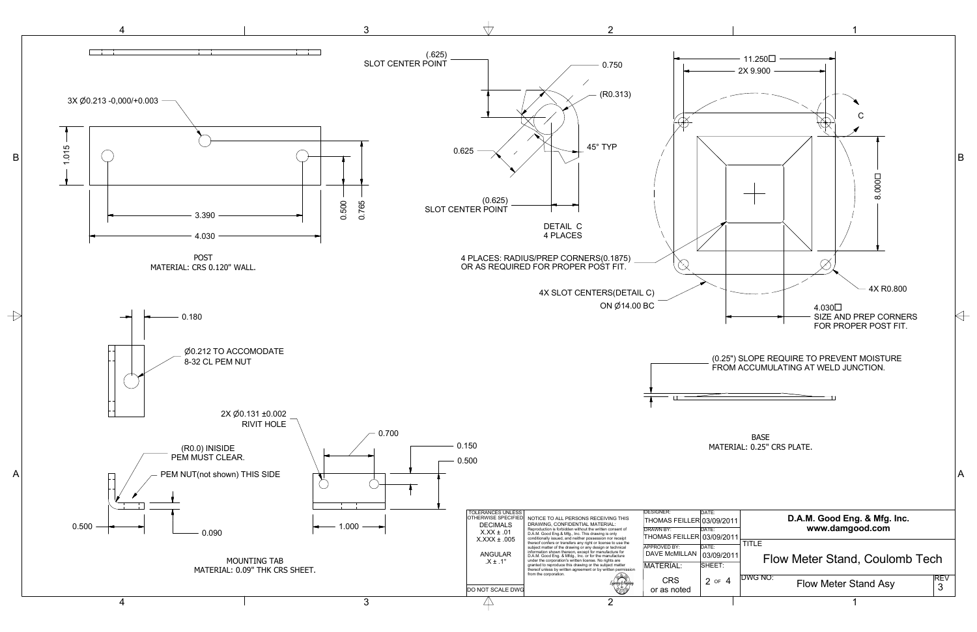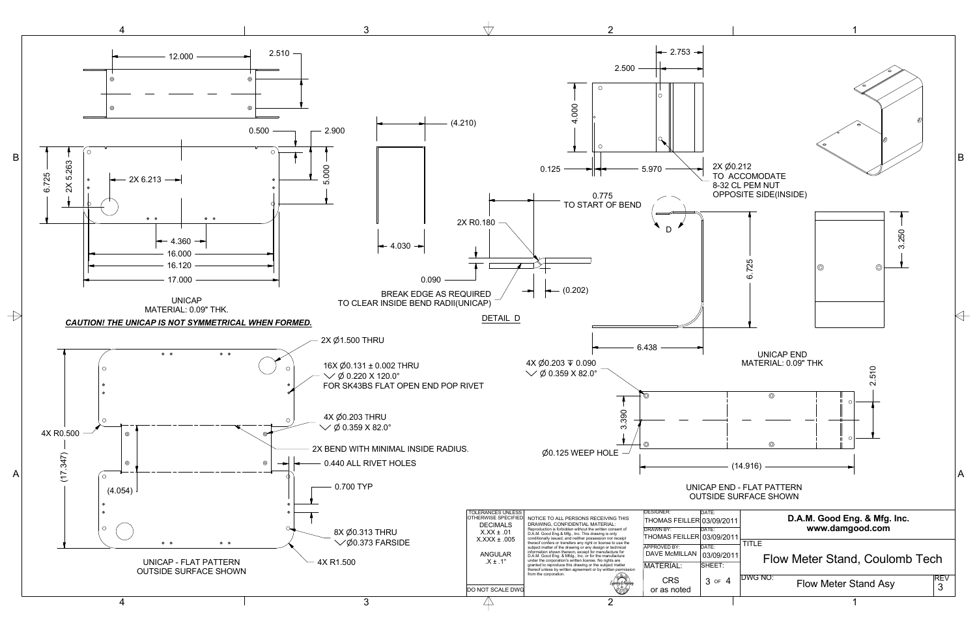